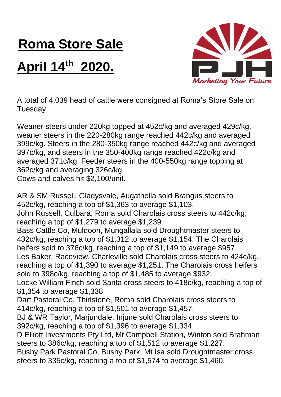## **Roma Store Sale**

## **April 14th 2020.**



A total of 4,039 head of cattle were consigned at Roma's Store Sale on Tuesday.

Weaner steers under 220kg topped at 452c/kg and averaged 429c/kg, weaner steers in the 220-280kg range reached 442c/kg and averaged 399c/kg. Steers in the 280-350kg range reached 442c/kg and averaged 397c/kg, and steers in the 350-400kg range reached 422c/kg and averaged 371c/kg. Feeder steers in the 400-550kg range topping at 362c/kg and averaging 326c/kg.

Cows and calves hit \$2,100/unit.

AR & SM Russell, Gladysvale, Augathella sold Brangus steers to 452c/kg, reaching a top of \$1,363 to average \$1,103. John Russell, Culbara, Roma sold Charolais cross steers to 442c/kg, reaching a top of \$1,279 to average \$1,239. Bass Cattle Co, Muldoon, Mungallala sold Droughtmaster steers to 432c/kg, reaching a top of \$1,312 to average \$1,154. The Charolais heifers sold to 376c/kg, reaching a top of \$1,149 to average \$957. Les Baker, Raceview, Charleville sold Charolais cross steers to 424c/kg, reaching a top of \$1,390 to average \$1,251. The Charolais cross heifers sold to 398c/kg, reaching a top of \$1,485 to average \$932. Locke William Finch sold Santa cross steers to 418c/kg, reaching a top of \$1,354 to average \$1,338. Dart Pastoral Co, Thirlstone, Roma sold Charolais cross steers to 414c/kg, reaching a top of \$1,501 to average \$1,457. BJ & WR Taylor, Marjundale, Injune sold Charolais cross steers to 392c/kg, reaching a top of \$1,396 to average \$1,334. D Elliott Investments Pty Ltd, Mt Campbell Station, Winton sold Brahman steers to 386c/kg, reaching a top of \$1,512 to average \$1,227. Bushy Park Pastoral Co, Bushy Park, Mt Isa sold Droughtmaster cross steers to 335c/kg, reaching a top of \$1,574 to average \$1,460.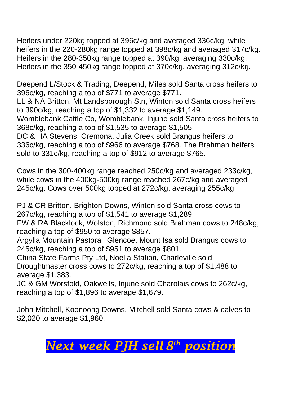Heifers under 220kg topped at 396c/kg and averaged 336c/kg, while heifers in the 220-280kg range topped at 398c/kg and averaged 317c/kg. Heifers in the 280-350kg range topped at 390/kg, averaging 330c/kg. Heifers in the 350-450kg range topped at 370c/kg, averaging 312c/kg.

Deepend L/Stock & Trading, Deepend, Miles sold Santa cross heifers to 396c/kg, reaching a top of \$771 to average \$771.

LL & NA Britton, Mt Landsborough Stn, Winton sold Santa cross heifers to 390c/kg, reaching a top of \$1,332 to average \$1,149.

Womblebank Cattle Co, Womblebank, Injune sold Santa cross heifers to 368c/kg, reaching a top of \$1,535 to average \$1,505.

DC & HA Stevens, Cremona, Julia Creek sold Brangus heifers to 336c/kg, reaching a top of \$966 to average \$768. The Brahman heifers sold to 331c/kg, reaching a top of \$912 to average \$765.

Cows in the 300-400kg range reached 250c/kg and averaged 233c/kg, while cows in the 400kg-500kg range reached 267c/kg and averaged 245c/kg. Cows over 500kg topped at 272c/kg, averaging 255c/kg.

PJ & CR Britton, Brighton Downs, Winton sold Santa cross cows to 267c/kg, reaching a top of \$1,541 to average \$1,289.

FW & RA Blacklock, Wolston, Richmond sold Brahman cows to 248c/kg, reaching a top of \$950 to average \$857.

Argylla Mountain Pastoral, Glencoe, Mount Isa sold Brangus cows to 245c/kg, reaching a top of \$951 to average \$801.

China State Farms Pty Ltd, Noella Station, Charleville sold Droughtmaster cross cows to 272c/kg, reaching a top of \$1,488 to average \$1,383.

JC & GM Worsfold, Oakwells, Injune sold Charolais cows to 262c/kg, reaching a top of \$1,896 to average \$1,679.

John Mitchell, Koonoong Downs, Mitchell sold Santa cows & calves to \$2,020 to average \$1,960.